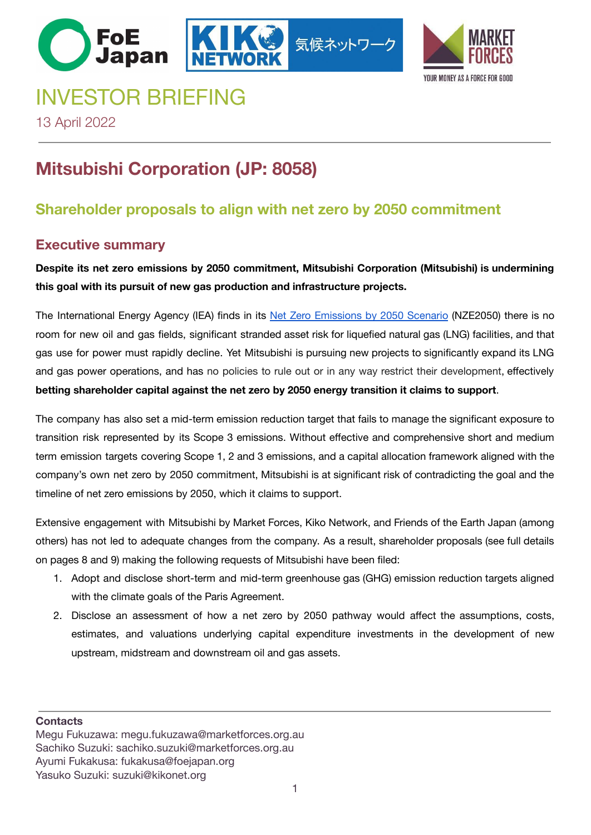# INVESTOR BRIEFING



13 April 2022

# **Mitsubishi Corporation (JP: 8058)**

# **Shareholder proposals to align with net zero by 2050 commitment**

# **Executive summary**

**Despite its net zero emissions by 2050 commitment, Mitsubishi Corporation (Mitsubishi) is undermining this goal with its pursuit of new gas production and infrastructure projects.**

気候ネットワー

The International Energy Agency (IEA) finds in its Net Zero Emissions by 2050 Scenario (NZE2050) there is no room for new oil and gas fields, significant stranded asset risk for liquefied natural gas (LNG) facilities, and that gas use for power must rapidly decline. Yet Mitsubishi is pursuing new projects to significantly expand its LNG and gas power operations, and has no policies to rule out or in any way restrict their development, effectively **betting shareholder capital against the net zero by 2050 energy transition it claims to support**.

The company has also set a mid-term emission reduction target that fails to manage the significant exposure to transition risk represented by its Scope 3 emissions. Without effective and comprehensive short and medium term emission targets covering Scope 1, 2 and 3 emissions, and a capital allocation framework aligned with the company's own net zero by 2050 commitment, Mitsubishi is at significant risk of contradicting the goal and the timeline of net zero emissions by 2050, which it claims to support.

Extensive engagement with Mitsubishi by Market Forces, Kiko Network, and Friends of the Earth Japan (among others) has not led to adequate changes from the company. As a result, shareholder proposals (see full details on pages 8 and 9) making the following requests of Mitsubishi have been filed:

- 1. Adopt and disclose short-term and mid-term greenhouse gas (GHG) emission reduction targets aligned with the climate goals of the Paris Agreement.
- 2. Disclose an assessment of how a net zero by 2050 pathway would affect the assumptions, costs, estimates, and valuations underlying capital expenditure investments in the development of new upstream, midstream and downstream oil and gas assets.

**Contacts**

Megu Fukuzawa: megu.fukuzawa@marketforces.org.au Sachiko Suzuki: sachiko.suzuki@marketforces.org.au Ayumi Fukakusa: fukakusa@foejapan.org Yasuko Suzuki: suzuki@kikonet.org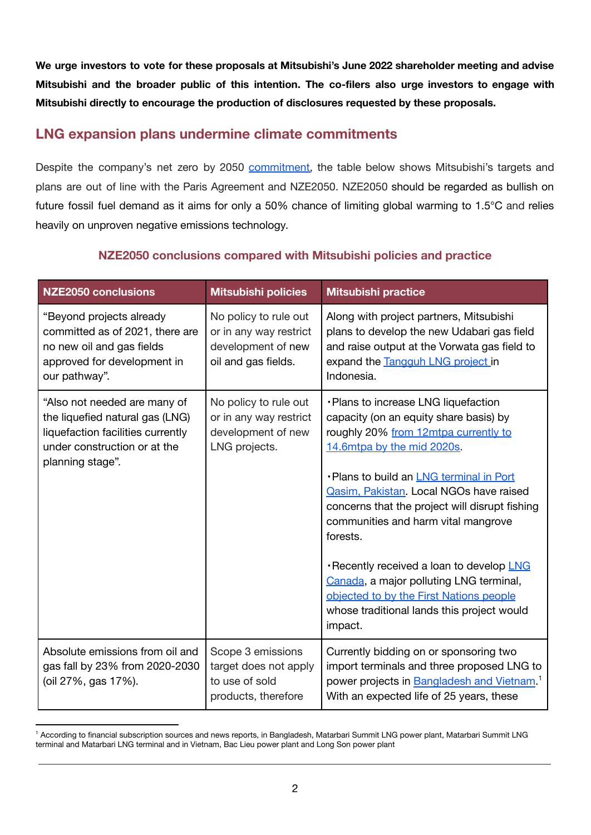**We urge investors to vote for these proposals at Mitsubishi's June 2022 shareholder meeting and advise Mitsubishi and the broader public of this intention. The co-filers also urge investors to engage with Mitsubishi directly to encourage the production of disclosures requested by these proposals.**

# **LNG expansion plans undermine climate commitments**

Despite the company's net zero by 2050 commitment, the table below shows Mitsubishi's targets and plans are out of line with the Paris Agreement and NZE2050. NZE2050 should be regarded as bullish on future fossil fuel demand as it aims for only a 50% chance of limiting global warming to 1.5°C and relies heavily on unproven negative emissions technology.

| <b>NZE2050 conclusions</b>                                                                                                                               | <b>Mitsubishi policies</b>                                                                   | <b>Mitsubishi practice</b>                                                                                                                                                                                                                                                                                                                                                                                                                                                                                                                 |
|----------------------------------------------------------------------------------------------------------------------------------------------------------|----------------------------------------------------------------------------------------------|--------------------------------------------------------------------------------------------------------------------------------------------------------------------------------------------------------------------------------------------------------------------------------------------------------------------------------------------------------------------------------------------------------------------------------------------------------------------------------------------------------------------------------------------|
| "Beyond projects already<br>committed as of 2021, there are<br>no new oil and gas fields<br>approved for development in<br>our pathway".                 | No policy to rule out<br>or in any way restrict<br>development of new<br>oil and gas fields. | Along with project partners, Mitsubishi<br>plans to develop the new Udabari gas field<br>and raise output at the Vorwata gas field to<br>expand the Tangguh LNG project in<br>Indonesia.                                                                                                                                                                                                                                                                                                                                                   |
| "Also not needed are many of<br>the liquefied natural gas (LNG)<br>liquefaction facilities currently<br>under construction or at the<br>planning stage". | No policy to rule out<br>or in any way restrict<br>development of new<br>LNG projects.       | · Plans to increase LNG liquefaction<br>capacity (on an equity share basis) by<br>roughly 20% from 12mtpa currently to<br>14.6mtpa by the mid 2020s.<br>- Plans to build an LNG terminal in Port<br>Qasim, Pakistan. Local NGOs have raised<br>concerns that the project will disrupt fishing<br>communities and harm vital mangrove<br>forests.<br>Recently received a loan to develop LNG<br>Canada, a major polluting LNG terminal,<br>objected to by the First Nations people<br>whose traditional lands this project would<br>impact. |
| Absolute emissions from oil and<br>gas fall by 23% from 2020-2030<br>(oil 27%, gas 17%).                                                                 | Scope 3 emissions<br>target does not apply<br>to use of sold<br>products, therefore          | Currently bidding on or sponsoring two<br>import terminals and three proposed LNG to<br>power projects in <b>Bangladesh and Vietnam</b> . <sup>1</sup><br>With an expected life of 25 years, these                                                                                                                                                                                                                                                                                                                                         |

#### **NZE2050 conclusions compared with Mitsubishi policies and practice**

<sup>1</sup> According to financial subscription sources and news reports, in Bangladesh, Matarbari Summit LNG power plant, Matarbari Summit LNG terminal and Matarbari LNG terminal and in Vietnam, Bac Lieu power plant and Long Son power plant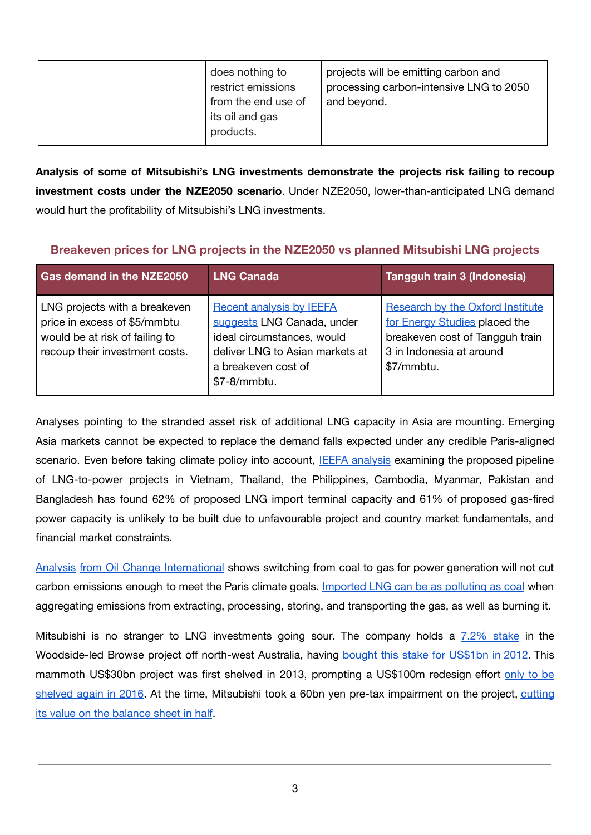| does nothing to<br>restrict emissions<br>from the end use of<br>its oil and gas<br>products. | projects will be emitting carbon and<br>processing carbon-intensive LNG to 2050<br>and beyond. |
|----------------------------------------------------------------------------------------------|------------------------------------------------------------------------------------------------|
|----------------------------------------------------------------------------------------------|------------------------------------------------------------------------------------------------|

**Analysis of some of Mitsubishi's LNG investments demonstrate the projects risk failing to recoup investment costs under the NZE2050 scenario**. Under NZE2050, lower-than-anticipated LNG demand would hurt the profitability of Mitsubishi's LNG investments.

#### **Breakeven prices for LNG projects in the NZE2050 vs planned Mitsubishi LNG projects**

| Gas demand in the NZE2050                                                                                                         | <b>LNG Canada</b>                                                                                                                                                     | Tangguh train 3 (Indonesia)                                                                                                                           |
|-----------------------------------------------------------------------------------------------------------------------------------|-----------------------------------------------------------------------------------------------------------------------------------------------------------------------|-------------------------------------------------------------------------------------------------------------------------------------------------------|
| LNG projects with a breakeven<br>price in excess of \$5/mmbtu<br>would be at risk of failing to<br>recoup their investment costs. | <b>Recent analysis by IEEFA</b><br>suggests LNG Canada, under<br>ideal circumstances, would<br>deliver LNG to Asian markets at<br>a breakeven cost of<br>\$7-8/mmbtu. | <b>Research by the Oxford Institute</b><br>for Energy Studies placed the<br>breakeven cost of Tangguh train<br>3 in Indonesia at around<br>\$7/mmbtu. |

Analyses pointing to the stranded asset risk of additional LNG capacity in Asia are mounting. Emerging Asia markets cannot be expected to replace the demand falls expected under any credible Paris-aligned scenario. Even before taking climate policy into account, **IEEFA analysis examining the proposed pipeline** of LNG-to-power projects in Vietnam, Thailand, the Philippines, Cambodia, Myanmar, Pakistan and Bangladesh has found 62% of proposed LNG import terminal capacity and 61% of proposed gas-fired power capacity is unlikely to be built due to unfavourable project and country market fundamentals, and financial market constraints.

Analysis from Oil Change International shows switching from coal to gas for power generation will not cut carbon emissions enough to meet the Paris climate goals. Imported LNG can be as polluting as coal when aggregating emissions from extracting, processing, storing, and transporting the gas, as well as burning it.

Mitsubishi is no stranger to LNG investments going sour. The company holds a 7.2% stake in the Woodside-led Browse project off north-west Australia, having bought this stake for US\$1bn in 2012. This mammoth US\$30bn project was first shelved in 2013, prompting a US\$100m redesign effort only to be shelved again in 2016. At the time, Mitsubishi took a 60bn yen pre-tax impairment on the project, cutting its value on the balance sheet in half.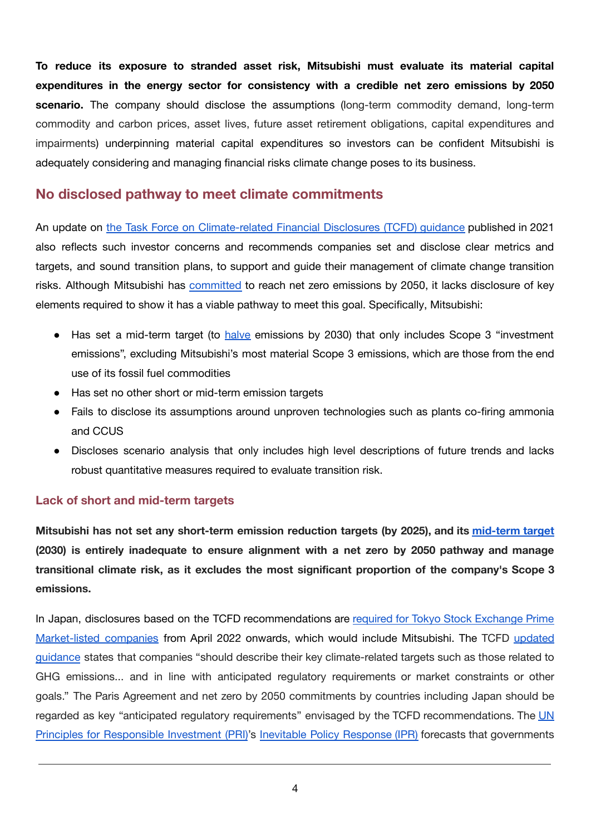**To reduce its exposure to stranded asset risk, Mitsubishi must evaluate its material capital expenditures in the energy sector for consistency with a credible net zero emissions by 2050 scenario.** The company should disclose the assumptions (long-term commodity demand, long-term commodity and carbon prices, asset lives, future asset retirement obligations, capital expenditures and impairments) underpinning material capital expenditures so investors can be confident Mitsubishi is adequately considering and managing financial risks climate change poses to its business.

### **No disclosed pathway to meet climate commitments**

An update on the Task Force on Climate-related Financial Disclosures (TCFD) guidance published in 2021 also reflects such investor concerns and recommends companies set and disclose clear metrics and targets, and sound transition plans, to support and guide their management of climate change transition risks. Although Mitsubishi has committed to reach net zero emissions by 2050, it lacks disclosure of key elements required to show it has a viable pathway to meet this goal. Specifically, Mitsubishi:

- Has set a mid-term target (to halve emissions by 2030) that only includes Scope 3 "investment emissions", excluding Mitsubishi's most material Scope 3 emissions, which are those from the end use of its fossil fuel commodities
- Has set no other short or mid-term emission targets
- Fails to disclose its assumptions around unproven technologies such as plants co-firing ammonia and CCUS
- Discloses scenario analysis that only includes high level descriptions of future trends and lacks robust quantitative measures required to evaluate transition risk.

#### **Lack of short and mid-term targets**

**Mitsubishi has not set any short-term emission reduction targets (by 2025), and its mid-term target (2030) is entirely inadequate to ensure alignment with a net zero by 2050 pathway and manage transitional climate risk, as it excludes the most significant proportion of the company's Scope 3 emissions.**

In Japan, disclosures based on the TCFD recommendations are required for Tokyo Stock Exchange Prime Market-listed companies from April 2022 onwards, which would include Mitsubishi. The TCFD updated guidance states that companies "should describe their key climate-related targets such as those related to GHG emissions... and in line with anticipated regulatory requirements or market constraints or other goals." The Paris Agreement and net zero by 2050 commitments by countries including Japan should be regarded as key "anticipated regulatory requirements" envisaged by the TCFD recommendations. The UN Principles for Responsible Investment (PRI)'s Inevitable Policy Response (IPR) forecasts that governments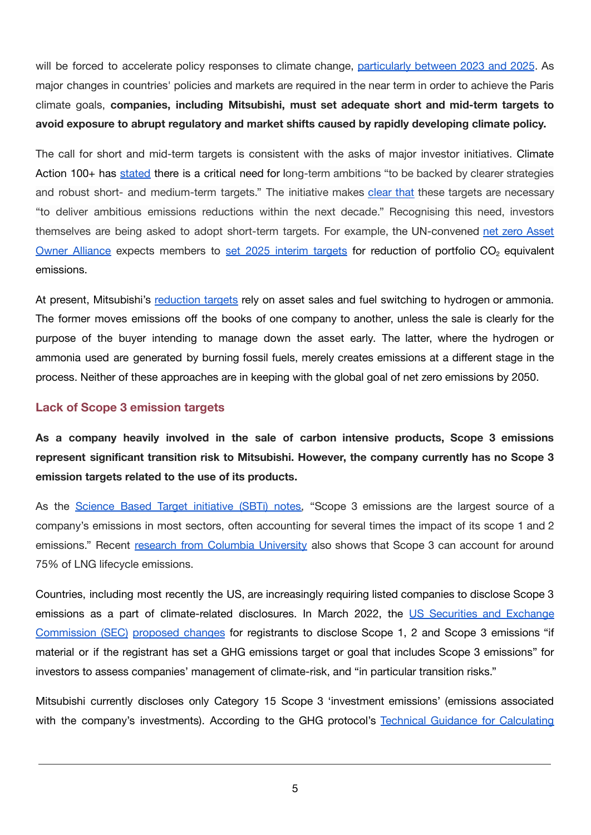will be forced to accelerate policy responses to climate change, particularly between 2023 and 2025. As major changes in countries' policies and markets are required in the near term in order to achieve the Paris climate goals, **companies, including Mitsubishi, must set adequate short and mid-term targets to avoid exposure to abrupt regulatory and market shifts caused by rapidly developing climate policy.**

The call for short and mid-term targets is consistent with the asks of major investor initiatives. Climate Action 100+ has stated there is a critical need for long-term ambitions "to be backed by clearer strategies and robust short- and medium-term targets." The initiative makes clear that these targets are necessary "to deliver ambitious emissions reductions within the next decade." Recognising this need, investors themselves are being asked to adopt short-term targets. For example, the UN-convened net zero Asset Owner Alliance expects members to set 2025 interim targets for reduction of portfolio CO<sub>2</sub> equivalent emissions.

At present, Mitsubishi's reduction targets rely on asset sales and fuel switching to hydrogen or ammonia. The former moves emissions off the books of one company to another, unless the sale is clearly for the purpose of the buyer intending to manage down the asset early. The latter, where the hydrogen or ammonia used are generated by burning fossil fuels, merely creates emissions at a different stage in the process. Neither of these approaches are in keeping with the global goal of net zero emissions by 2050.

#### **Lack of Scope 3 emission targets**

**As a company heavily involved in the sale of carbon intensive products, Scope 3 emissions represent significant transition risk to Mitsubishi. However, the company currently has no Scope 3 emission targets related to the use of its products.**

As the Science Based Target initiative (SBTi) notes, "Scope 3 emissions are the largest source of a company's emissions in most sectors, often accounting for several times the impact of its scope 1 and 2 emissions." Recent research from Columbia University also shows that Scope 3 can account for around 75% of LNG lifecycle emissions.

Countries, including most recently the US, are increasingly requiring listed companies to disclose Scope 3 emissions as a part of climate-related disclosures. In March 2022, the US Securities and Exchange Commission (SEC) proposed changes for registrants to disclose Scope 1, 2 and Scope 3 emissions "if material or if the registrant has set a GHG emissions target or goal that includes Scope 3 emissions" for investors to assess companies' management of climate-risk, and "in particular transition risks."

Mitsubishi currently discloses only Category 15 Scope 3 'investment emissions' (emissions associated with the company's investments). According to the GHG protocol's Technical Guidance for Calculating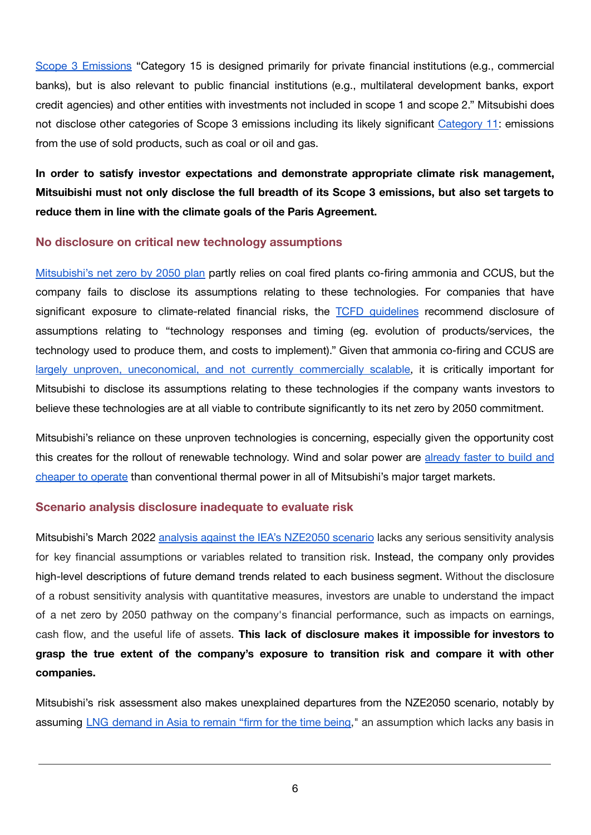Scope 3 Emissions "Category 15 is designed primarily for private financial institutions (e.g., commercial banks), but is also relevant to public financial institutions (e.g., multilateral development banks, export credit agencies) and other entities with investments not included in scope 1 and scope 2." Mitsubishi does not disclose other categories of Scope 3 emissions including its likely significant Category 11: emissions from the use of sold products, such as coal or oil and gas.

**In order to satisfy investor expectations and demonstrate appropriate climate risk management,** Mitsuibishi must not only disclose the full breadth of its Scope 3 emissions, but also set targets to **reduce them in line with the climate goals of the Paris Agreement.**

#### **No disclosure on critical new technology assumptions**

Mitsubishi's net zero by 2050 plan partly relies on coal fired plants co-firing ammonia and CCUS, but the company fails to disclose its assumptions relating to these technologies. For companies that have significant exposure to climate-related financial risks, the TCFD guidelines recommend disclosure of assumptions relating to "technology responses and timing (eg. evolution of products/services, the technology used to produce them, and costs to implement)." Given that ammonia co-firing and CCUS are largely unproven, uneconomical, and not currently commercially scalable, it is critically important for Mitsubishi to disclose its assumptions relating to these technologies if the company wants investors to believe these technologies are at all viable to contribute significantly to its net zero by 2050 commitment.

Mitsubishi's reliance on these unproven technologies is concerning, especially given the opportunity cost this creates for the rollout of renewable technology. Wind and solar power are already faster to build and cheaper to operate than conventional thermal power in all of Mitsubishi's major target markets.

#### **Scenario analysis disclosure inadequate to evaluate risk**

Mitsubishi's March 2022 analysis against the IEA's NZE2050 scenario lacks any serious sensitivity analysis for key financial assumptions or variables related to transition risk. Instead, the company only provides high-level descriptions of future demand trends related to each business segment. Without the disclosure of a robust sensitivity analysis with quantitative measures, investors are unable to understand the impact of a net zero by 2050 pathway on the company's financial performance, such as impacts on earnings, cash flow, and the useful life of assets. **This lack of disclosure makes it impossible for investors to grasp the true extent of the company's exposure to transition risk and compare it with other companies.**

Mitsubishi's risk assessment also makes unexplained departures from the NZE2050 scenario, notably by assuming LNG demand in Asia to remain "firm for the time being," an assumption which lacks any basis in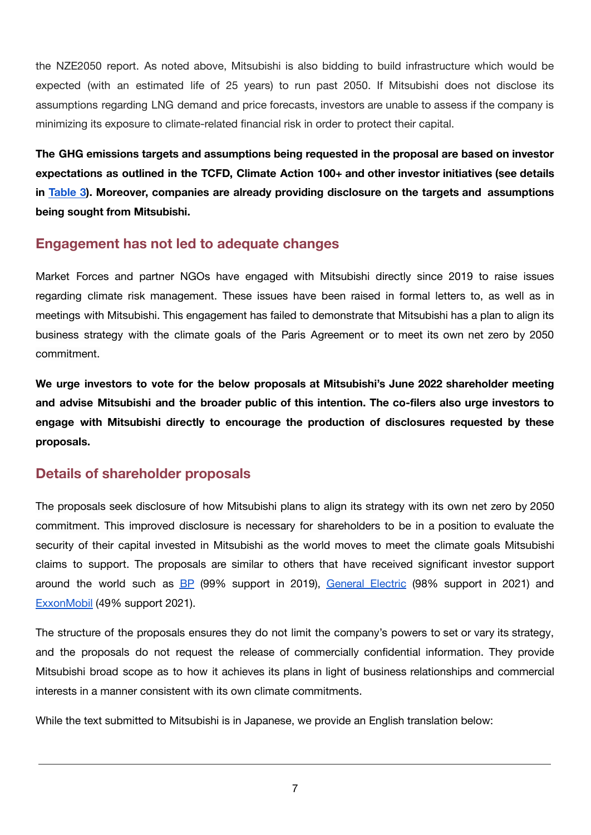the NZE2050 report. As noted above, Mitsubishi is also bidding to build infrastructure which would be expected (with an estimated life of 25 years) to run past 2050. If Mitsubishi does not disclose its assumptions regarding LNG demand and price forecasts, investors are unable to assess if the company is minimizing its exposure to climate-related financial risk in order to protect their capital.

**The GHG emissions targets and assumptions being requested in the proposal are based on investor expectations as outlined in the TCFD, Climate Action 100+ and other investor initiatives (see details in [Table](#page-9-0) 3). Moreover, companies are already providing disclosure on the targets and assumptions being sought from Mitsubishi.**

# **Engagement has not led to adequate changes**

Market Forces and partner NGOs have engaged with Mitsubishi directly since 2019 to raise issues regarding climate risk management. These issues have been raised in formal letters to, as well as in meetings with Mitsubishi. This engagement has failed to demonstrate that Mitsubishi has a plan to align its business strategy with the climate goals of the Paris Agreement or to meet its own net zero by 2050 commitment.

**We urge investors to vote for the below proposals at Mitsubishi's June 2022 shareholder meeting and advise Mitsubishi and the broader public of this intention. The co-filers also urge investors to engage with Mitsubishi directly to encourage the production of disclosures requested by these proposals.**

## **Details of shareholder proposals**

The proposals seek disclosure of how Mitsubishi plans to align its strategy with its own net zero by 2050 commitment. This improved disclosure is necessary for shareholders to be in a position to evaluate the security of their capital invested in Mitsubishi as the world moves to meet the climate goals Mitsubishi claims to support. The proposals are similar to others that have received significant investor support around the world such as BP (99% support in 2019), General Electric (98% support in 2021) and ExxonMobil (49% support 2021).

The structure of the proposals ensures they do not limit the company's powers to set or vary its strategy, and the proposals do not request the release of commercially confidential information. They provide Mitsubishi broad scope as to how it achieves its plans in light of business relationships and commercial interests in a manner consistent with its own climate commitments.

While the text submitted to Mitsubishi is in Japanese, we provide an English translation below: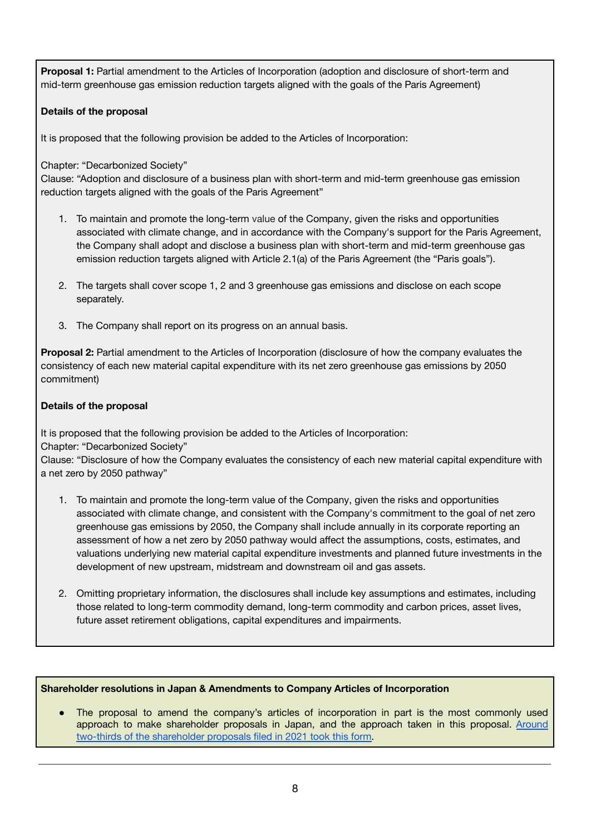**Proposal 1:** Partial amendment to the Articles of Incorporation (adoption and disclosure of short-term and mid-term greenhouse gas emission reduction targets aligned with the goals of the Paris Agreement)

#### **Details of the proposal**

It is proposed that the following provision be added to the Articles of Incorporation:

Chapter: "Decarbonized Society"

Clause: "Adoption and disclosure of a business plan with short-term and mid-term greenhouse gas emission reduction targets aligned with the goals of the Paris Agreement"

- 1. To maintain and promote the long-term value of the Company, given the risks and opportunities associated with climate change, and in accordance with the Company's support for the Paris Agreement, the Company shall adopt and disclose a business plan with short-term and mid-term greenhouse gas emission reduction targets aligned with Article 2.1(a) of the Paris Agreement (the "Paris goals").
- 2. The targets shall cover scope 1, 2 and 3 greenhouse gas emissions and disclose on each scope separately.
- 3. The Company shall report on its progress on an annual basis.

**Proposal 2:** Partial amendment to the Articles of Incorporation (disclosure of how the company evaluates the consistency of each new material capital expenditure with its net zero greenhouse gas emissions by 2050 commitment)

#### **Details of the proposal**

It is proposed that the following provision be added to the Articles of Incorporation: Chapter: "Decarbonized Society"

Clause: "Disclosure of how the Company evaluates the consistency of each new material capital expenditure with a net zero by 2050 pathway"

- 1. To maintain and promote the long-term value of the Company, given the risks and opportunities associated with climate change, and consistent with the Company's commitment to the goal of net zero greenhouse gas emissions by 2050, the Company shall include annually in its corporate reporting an assessment of how a net zero by 2050 pathway would affect the assumptions, costs, estimates, and valuations underlying new material capital expenditure investments and planned future investments in the development of new upstream, midstream and downstream oil and gas assets.
- 2. Omitting proprietary information, the disclosures shall include key assumptions and estimates, including those related to long-term commodity demand, long-term commodity and carbon prices, asset lives, future asset retirement obligations, capital expenditures and impairments.

#### **Shareholder resolutions in Japan & Amendments to Company Articles of Incorporation**

• The proposal to amend the company's articles of incorporation in part is the most commonly used approach to make shareholder proposals in Japan, and the approach taken in this proposal. Around two-thirds of the shareholder proposals filed in 2021 took this form.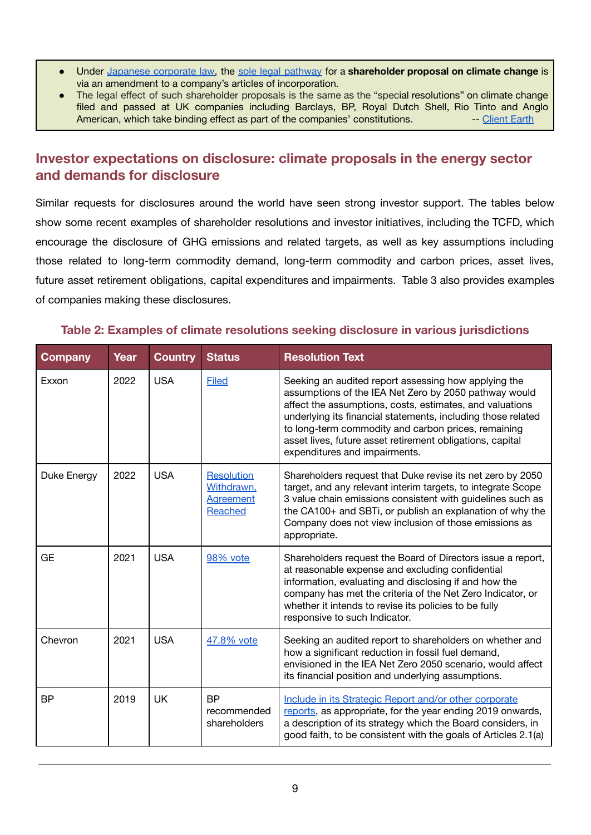- Under Japanese corporate law, the sole legal pathway for a **shareholder proposal on climate change** is via an amendment to a company's articles of incorporation.
- The legal effect of such shareholder proposals is the same as the "special resolutions" on climate change filed and passed at UK companies including Barclays, BP, Royal Dutch Shell, Rio Tinto and Anglo American, which take binding effect as part of the companies' constitutions. The Client Earth

## **Investor expectations on disclosure: climate proposals in the energy sector and demands for disclosure**

Similar requests for disclosures around the world have seen strong investor support. The tables below show some recent examples of shareholder resolutions and investor initiatives, including the TCFD, which encourage the disclosure of GHG emissions and related targets, as well as key assumptions including those related to long-term commodity demand, long-term commodity and carbon prices, asset lives, future asset retirement obligations, capital expenditures and impairments. Table 3 also provides examples of companies making these disclosures.

#### **Table 2: Examples of climate resolutions seeking disclosure in various jurisdictions**

| <b>Company</b> | <b>Year</b> | <b>Country</b> | <b>Status</b>                                                         | <b>Resolution Text</b>                                                                                                                                                                                                                                                                                                                                                                         |
|----------------|-------------|----------------|-----------------------------------------------------------------------|------------------------------------------------------------------------------------------------------------------------------------------------------------------------------------------------------------------------------------------------------------------------------------------------------------------------------------------------------------------------------------------------|
| Exxon          | 2022        | <b>USA</b>     | <b>Filed</b>                                                          | Seeking an audited report assessing how applying the<br>assumptions of the IEA Net Zero by 2050 pathway would<br>affect the assumptions, costs, estimates, and valuations<br>underlying its financial statements, including those related<br>to long-term commodity and carbon prices, remaining<br>asset lives, future asset retirement obligations, capital<br>expenditures and impairments. |
| Duke Energy    | 2022        | <b>USA</b>     | <b>Resolution</b><br>Withdrawn.<br><b>Agreement</b><br><b>Reached</b> | Shareholders request that Duke revise its net zero by 2050<br>target, and any relevant interim targets, to integrate Scope<br>3 value chain emissions consistent with guidelines such as<br>the CA100+ and SBTi, or publish an explanation of why the<br>Company does not view inclusion of those emissions as<br>appropriate.                                                                 |
| <b>GE</b>      | 2021        | <b>USA</b>     | 98% vote                                                              | Shareholders request the Board of Directors issue a report,<br>at reasonable expense and excluding confidential<br>information, evaluating and disclosing if and how the<br>company has met the criteria of the Net Zero Indicator, or<br>whether it intends to revise its policies to be fully<br>responsive to such Indicator.                                                               |
| Chevron        | 2021        | <b>USA</b>     | 47.8% vote                                                            | Seeking an audited report to shareholders on whether and<br>how a significant reduction in fossil fuel demand,<br>envisioned in the IEA Net Zero 2050 scenario, would affect<br>its financial position and underlying assumptions.                                                                                                                                                             |
| <b>BP</b>      | 2019        | <b>UK</b>      | <b>BP</b><br>recommended<br>shareholders                              | Include in its Strategic Report and/or other corporate<br>reports, as appropriate, for the year ending 2019 onwards,<br>a description of its strategy which the Board considers, in<br>good faith, to be consistent with the goals of Articles 2.1(a)                                                                                                                                          |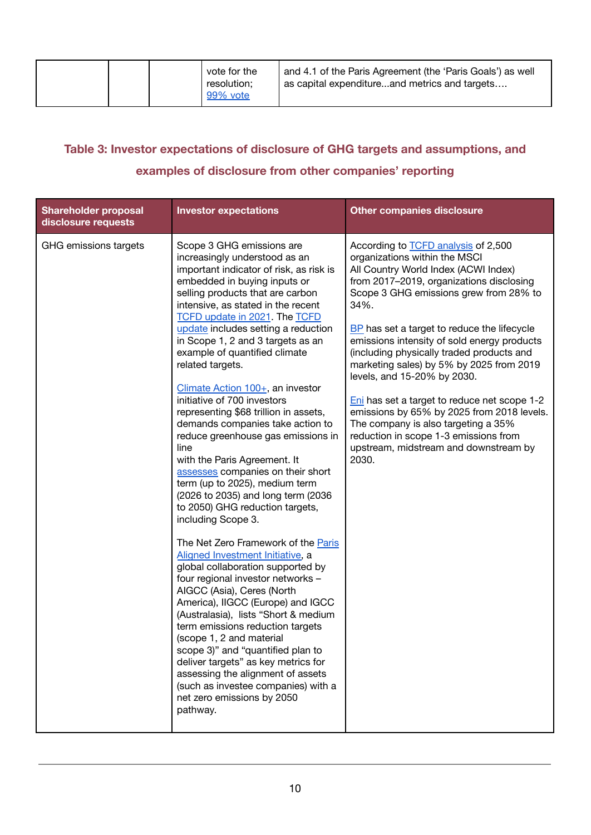| 99% vote |
|----------|
|----------|

# <span id="page-9-0"></span>**Table 3: Investor expectations of disclosure of GHG targets and assumptions, and examples of disclosure from other companies' reporting**

| <b>Shareholder proposal</b><br>disclosure requests | <b>Investor expectations</b>                                                                                                                                                                                                                                                                                                                                                                                                                                                                                                                                                                                                                                                                                                                                                                                                                                                                                                                                                                                                                                                                                                                                                                                                                                                                                                         | <b>Other companies disclosure</b>                                                                                                                                                                                                                                                                                                                                                                                                                                                                                                                                                                                                                                       |
|----------------------------------------------------|--------------------------------------------------------------------------------------------------------------------------------------------------------------------------------------------------------------------------------------------------------------------------------------------------------------------------------------------------------------------------------------------------------------------------------------------------------------------------------------------------------------------------------------------------------------------------------------------------------------------------------------------------------------------------------------------------------------------------------------------------------------------------------------------------------------------------------------------------------------------------------------------------------------------------------------------------------------------------------------------------------------------------------------------------------------------------------------------------------------------------------------------------------------------------------------------------------------------------------------------------------------------------------------------------------------------------------------|-------------------------------------------------------------------------------------------------------------------------------------------------------------------------------------------------------------------------------------------------------------------------------------------------------------------------------------------------------------------------------------------------------------------------------------------------------------------------------------------------------------------------------------------------------------------------------------------------------------------------------------------------------------------------|
| GHG emissions targets                              | Scope 3 GHG emissions are<br>increasingly understood as an<br>important indicator of risk, as risk is<br>embedded in buying inputs or<br>selling products that are carbon<br>intensive, as stated in the recent<br><b>TCFD update in 2021</b> The <b>TCFD</b><br>update includes setting a reduction<br>in Scope 1, 2 and 3 targets as an<br>example of quantified climate<br>related targets.<br>Climate Action 100+, an investor<br>initiative of 700 investors<br>representing \$68 trillion in assets,<br>demands companies take action to<br>reduce greenhouse gas emissions in<br>line<br>with the Paris Agreement. It<br>assesses companies on their short<br>term (up to 2025), medium term<br>(2026 to 2035) and long term (2036<br>to 2050) GHG reduction targets,<br>including Scope 3.<br>The Net Zero Framework of the Paris<br>Aligned Investment Initiative, a<br>global collaboration supported by<br>four regional investor networks -<br>AIGCC (Asia), Ceres (North<br>America), IIGCC (Europe) and IGCC<br>(Australasia), lists "Short & medium<br>term emissions reduction targets<br>(scope 1, 2 and material<br>scope 3)" and "quantified plan to<br>deliver targets" as key metrics for<br>assessing the alignment of assets<br>(such as investee companies) with a<br>net zero emissions by 2050<br>pathway. | According to <b>TCFD</b> analysis of 2,500<br>organizations within the MSCI<br>All Country World Index (ACWI Index)<br>from 2017-2019, organizations disclosing<br>Scope 3 GHG emissions grew from 28% to<br>34%.<br>BP has set a target to reduce the lifecycle<br>emissions intensity of sold energy products<br>(including physically traded products and<br>marketing sales) by 5% by 2025 from 2019<br>levels, and 15-20% by 2030.<br>Eni has set a target to reduce net scope 1-2<br>emissions by 65% by 2025 from 2018 levels.<br>The company is also targeting a 35%<br>reduction in scope 1-3 emissions from<br>upstream, midstream and downstream by<br>2030. |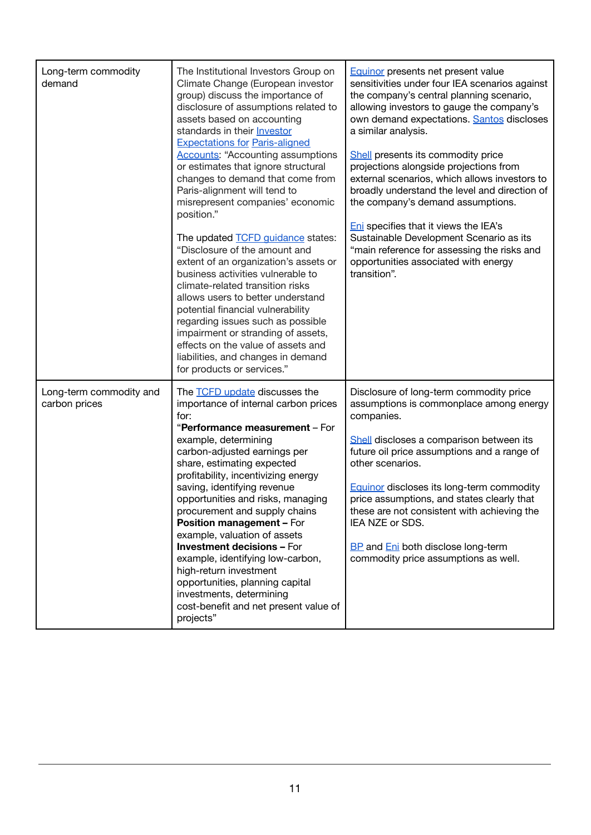| Long-term commodity<br>demand            | The Institutional Investors Group on<br>Climate Change (European investor<br>group) discuss the importance of<br>disclosure of assumptions related to<br>assets based on accounting<br>standards in their <b>Investor</b><br><b>Expectations for Paris-aligned</b><br><b>Accounts: "Accounting assumptions</b><br>or estimates that ignore structural<br>changes to demand that come from<br>Paris-alignment will tend to<br>misrepresent companies' economic<br>position."<br>The updated <b>TCFD</b> quidance states:<br>"Disclosure of the amount and<br>extent of an organization's assets or<br>business activities vulnerable to<br>climate-related transition risks<br>allows users to better understand<br>potential financial vulnerability<br>regarding issues such as possible<br>impairment or stranding of assets,<br>effects on the value of assets and<br>liabilities, and changes in demand<br>for products or services." | <b>Equinor</b> presents net present value<br>sensitivities under four IEA scenarios against<br>the company's central planning scenario,<br>allowing investors to gauge the company's<br>own demand expectations. Santos discloses<br>a similar analysis.<br>Shell presents its commodity price<br>projections alongside projections from<br>external scenarios, which allows investors to<br>broadly understand the level and direction of<br>the company's demand assumptions.<br>Eni specifies that it views the IEA's<br>Sustainable Development Scenario as its<br>"main reference for assessing the risks and<br>opportunities associated with energy<br>transition". |
|------------------------------------------|-------------------------------------------------------------------------------------------------------------------------------------------------------------------------------------------------------------------------------------------------------------------------------------------------------------------------------------------------------------------------------------------------------------------------------------------------------------------------------------------------------------------------------------------------------------------------------------------------------------------------------------------------------------------------------------------------------------------------------------------------------------------------------------------------------------------------------------------------------------------------------------------------------------------------------------------|----------------------------------------------------------------------------------------------------------------------------------------------------------------------------------------------------------------------------------------------------------------------------------------------------------------------------------------------------------------------------------------------------------------------------------------------------------------------------------------------------------------------------------------------------------------------------------------------------------------------------------------------------------------------------|
| Long-term commodity and<br>carbon prices | The <b>TCFD</b> update discusses the<br>importance of internal carbon prices<br>for:<br>"Performance measurement - For<br>example, determining<br>carbon-adjusted earnings per<br>share, estimating expected<br>profitability, incentivizing energy<br>saving, identifying revenue<br>opportunities and risks, managing<br>procurement and supply chains<br>Position management - For<br>example, valuation of assets<br><b>Investment decisions - For</b><br>example, identifying low-carbon,<br>high-return investment<br>opportunities, planning capital<br>investments, determining<br>cost-benefit and net present value of<br>projects"                                                                                                                                                                                                                                                                                             | Disclosure of long-term commodity price<br>assumptions is commonplace among energy<br>companies.<br>Shell discloses a comparison between its<br>future oil price assumptions and a range of<br>other scenarios.<br><b>Equinor discloses its long-term commodity</b><br>price assumptions, and states clearly that<br>these are not consistent with achieving the<br>IEA NZE or SDS.<br><b>BP</b> and <b>Eni</b> both disclose long-term<br>commodity price assumptions as well.                                                                                                                                                                                            |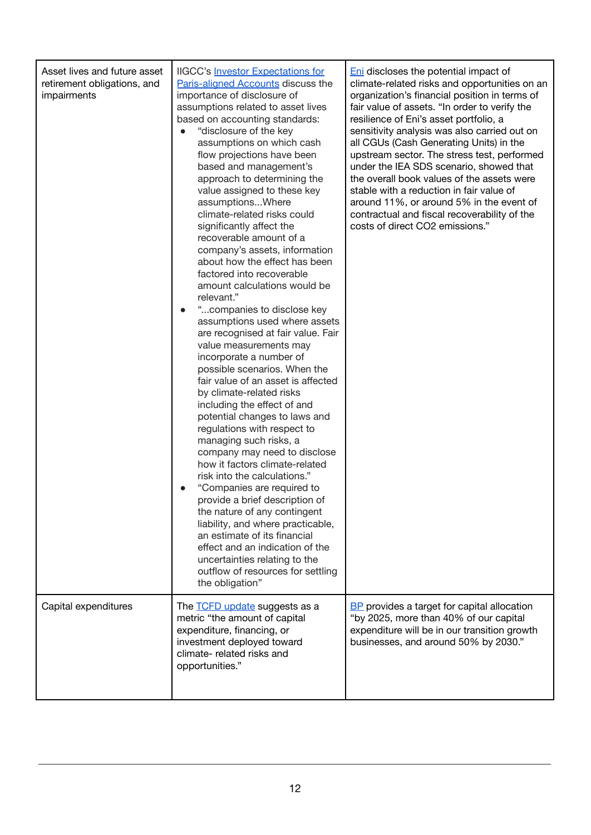| Asset lives and future asset<br>retirement obligations, and<br>impairments | <b>IIGCC's Investor Expectations for</b><br>Paris-aligned Accounts discuss the<br>importance of disclosure of<br>assumptions related to asset lives<br>based on accounting standards:<br>"disclosure of the key<br>assumptions on which cash<br>flow projections have been<br>based and management's<br>approach to determining the<br>value assigned to these key<br>assumptionsWhere<br>climate-related risks could<br>significantly affect the<br>recoverable amount of a<br>company's assets, information<br>about how the effect has been<br>factored into recoverable<br>amount calculations would be<br>relevant."<br>"companies to disclose key<br>assumptions used where assets<br>are recognised at fair value. Fair<br>value measurements may<br>incorporate a number of<br>possible scenarios. When the<br>fair value of an asset is affected<br>by climate-related risks<br>including the effect of and<br>potential changes to laws and<br>regulations with respect to<br>managing such risks, a<br>company may need to disclose<br>how it factors climate-related<br>risk into the calculations."<br>"Companies are required to<br>provide a brief description of<br>the nature of any contingent<br>liability, and where practicable,<br>an estimate of its financial<br>effect and an indication of the<br>uncertainties relating to the<br>outflow of resources for settling<br>the obligation" | <b>Eni</b> discloses the potential impact of<br>climate-related risks and opportunities on an<br>organization's financial position in terms of<br>fair value of assets. "In order to verify the<br>resilience of Eni's asset portfolio, a<br>sensitivity analysis was also carried out on<br>all CGUs (Cash Generating Units) in the<br>upstream sector. The stress test, performed<br>under the IEA SDS scenario, showed that<br>the overall book values of the assets were<br>stable with a reduction in fair value of<br>around 11%, or around 5% in the event of<br>contractual and fiscal recoverability of the<br>costs of direct CO2 emissions." |
|----------------------------------------------------------------------------|-------------------------------------------------------------------------------------------------------------------------------------------------------------------------------------------------------------------------------------------------------------------------------------------------------------------------------------------------------------------------------------------------------------------------------------------------------------------------------------------------------------------------------------------------------------------------------------------------------------------------------------------------------------------------------------------------------------------------------------------------------------------------------------------------------------------------------------------------------------------------------------------------------------------------------------------------------------------------------------------------------------------------------------------------------------------------------------------------------------------------------------------------------------------------------------------------------------------------------------------------------------------------------------------------------------------------------------------------------------------------------------------------------------------|---------------------------------------------------------------------------------------------------------------------------------------------------------------------------------------------------------------------------------------------------------------------------------------------------------------------------------------------------------------------------------------------------------------------------------------------------------------------------------------------------------------------------------------------------------------------------------------------------------------------------------------------------------|
| Capital expenditures                                                       | The <b>TCFD</b> update suggests as a<br>metric "the amount of capital<br>expenditure, financing, or<br>investment deployed toward<br>climate- related risks and<br>opportunities."                                                                                                                                                                                                                                                                                                                                                                                                                                                                                                                                                                                                                                                                                                                                                                                                                                                                                                                                                                                                                                                                                                                                                                                                                                | <b>BP</b> provides a target for capital allocation<br>"by 2025, more than 40% of our capital<br>expenditure will be in our transition growth<br>businesses, and around 50% by 2030."                                                                                                                                                                                                                                                                                                                                                                                                                                                                    |